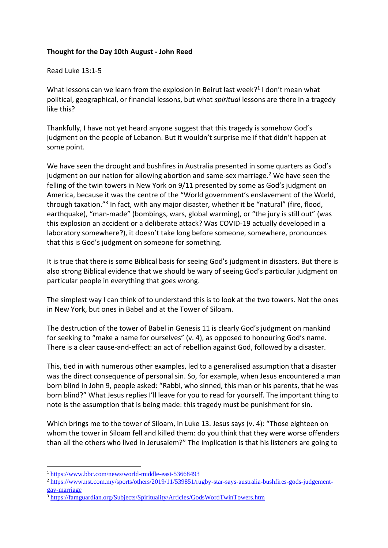## **Thought for the Day 10th August - John Reed**

## Read Luke 13:1-5

What lessons can we learn from the explosion in Beirut last week?<sup>1</sup> I don't mean what political, geographical, or financial lessons, but what *spiritual* lessons are there in a tragedy like this?

Thankfully, I have not yet heard anyone suggest that this tragedy is somehow God's judgment on the people of Lebanon. But it wouldn't surprise me if that didn't happen at some point.

We have seen the drought and bushfires in Australia presented in some quarters as God's judgment on our nation for allowing abortion and same-sex marriage.<sup>2</sup> We have seen the felling of the twin towers in New York on 9/11 presented by some as God's judgment on America, because it was the centre of the "World government's enslavement of the World, through taxation."<sup>3</sup> In fact, with any major disaster, whether it be "natural" (fire, flood, earthquake), "man-made" (bombings, wars, global warming), or "the jury is still out" (was this explosion an accident or a deliberate attack? Was COVID-19 actually developed in a laboratory somewhere?), it doesn't take long before someone, somewhere, pronounces that this is God's judgment on someone for something.

It is true that there is some Biblical basis for seeing God's judgment in disasters. But there is also strong Biblical evidence that we should be wary of seeing God's particular judgment on particular people in everything that goes wrong.

The simplest way I can think of to understand this is to look at the two towers. Not the ones in New York, but ones in Babel and at the Tower of Siloam.

The destruction of the tower of Babel in Genesis 11 is clearly God's judgment on mankind for seeking to "make a name for ourselves" (v. 4), as opposed to honouring God's name. There is a clear cause-and-effect: an act of rebellion against God, followed by a disaster.

This, tied in with numerous other examples, led to a generalised assumption that a disaster was the direct consequence of personal sin. So, for example, when Jesus encountered a man born blind in John 9, people asked: "Rabbi, who sinned, this man or his parents, that he was born blind?" What Jesus replies I'll leave for you to read for yourself. The important thing to note is the assumption that is being made: this tragedy must be punishment for sin.

Which brings me to the tower of Siloam, in Luke 13. Jesus says (v. 4): "Those eighteen on whom the tower in Siloam fell and killed them: do you think that they were worse offenders than all the others who lived in Jerusalem?" The implication is that his listeners are going to

<sup>1</sup> <https://www.bbc.com/news/world-middle-east-53668493>

<sup>&</sup>lt;sup>2</sup> https://www<u>.nst.com.my/sports/others/2019/11/539851/rugby-star-says-australia-bushfires-gods-judgement-</u> [gay-marriage](https://www.nst.com.my/sports/others/2019/11/539851/rugby-star-says-australia-bushfires-gods-judgement-gay-marriage)

<sup>&</sup>lt;sup>3</sup> <https://famguardian.org/Subjects/Spirituality/Articles/GodsWordTwinTowers.htm>